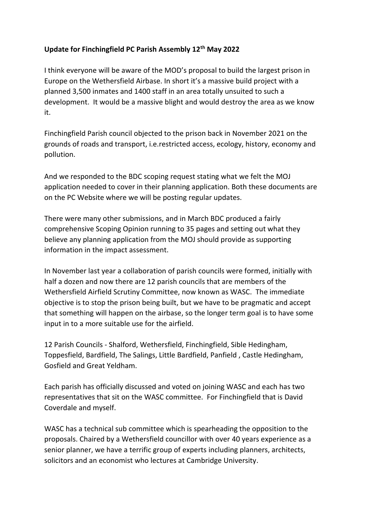## **Update for Finchingfield PC Parish Assembly 12th May 2022**

I think everyone will be aware of the MOD's proposal to build the largest prison in Europe on the Wethersfield Airbase. In short it's a massive build project with a planned 3,500 inmates and 1400 staff in an area totally unsuited to such a development. It would be a massive blight and would destroy the area as we know it.

Finchingfield Parish council objected to the prison back in November 2021 on the grounds of roads and transport, i.e.restricted access, ecology, history, economy and pollution.

And we responded to the BDC scoping request stating what we felt the MOJ application needed to cover in their planning application. Both these documents are on the PC Website where we will be posting regular updates.

There were many other submissions, and in March BDC produced a fairly comprehensive Scoping Opinion running to 35 pages and setting out what they believe any planning application from the MOJ should provide as supporting information in the impact assessment.

In November last year a collaboration of parish councils were formed, initially with half a dozen and now there are 12 parish councils that are members of the Wethersfield Airfield Scrutiny Committee, now known as WASC. The immediate objective is to stop the prison being built, but we have to be pragmatic and accept that something will happen on the airbase, so the longer term goal is to have some input in to a more suitable use for the airfield.

12 Parish Councils - Shalford, Wethersfield, Finchingfield, Sible Hedingham, Toppesfield, Bardfield, The Salings, Little Bardfield, Panfield , Castle Hedingham, Gosfield and Great Yeldham.

Each parish has officially discussed and voted on joining WASC and each has two representatives that sit on the WASC committee. For Finchingfield that is David Coverdale and myself.

WASC has a technical sub committee which is spearheading the opposition to the proposals. Chaired by a Wethersfield councillor with over 40 years experience as a senior planner, we have a terrific group of experts including planners, architects, solicitors and an economist who lectures at Cambridge University.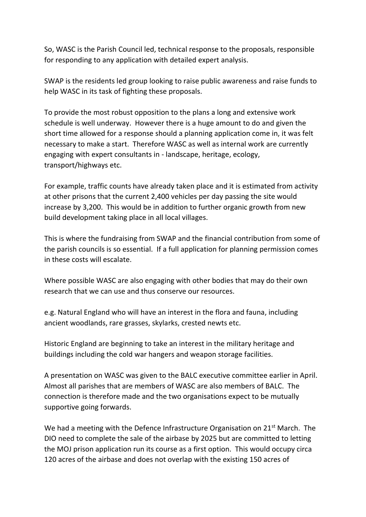So, WASC is the Parish Council led, technical response to the proposals, responsible for responding to any application with detailed expert analysis.

SWAP is the residents led group looking to raise public awareness and raise funds to help WASC in its task of fighting these proposals.

To provide the most robust opposition to the plans a long and extensive work schedule is well underway. However there is a huge amount to do and given the short time allowed for a response should a planning application come in, it was felt necessary to make a start. Therefore WASC as well as internal work are currently engaging with expert consultants in - landscape, heritage, ecology, transport/highways etc.

For example, traffic counts have already taken place and it is estimated from activity at other prisons that the current 2,400 vehicles per day passing the site would increase by 3,200. This would be in addition to further organic growth from new build development taking place in all local villages.

This is where the fundraising from SWAP and the financial contribution from some of the parish councils is so essential. If a full application for planning permission comes in these costs will escalate.

Where possible WASC are also engaging with other bodies that may do their own research that we can use and thus conserve our resources.

e.g. Natural England who will have an interest in the flora and fauna, including ancient woodlands, rare grasses, skylarks, crested newts etc.

Historic England are beginning to take an interest in the military heritage and buildings including the cold war hangers and weapon storage facilities.

A presentation on WASC was given to the BALC executive committee earlier in April. Almost all parishes that are members of WASC are also members of BALC. The connection is therefore made and the two organisations expect to be mutually supportive going forwards.

We had a meeting with the Defence Infrastructure Organisation on 21<sup>st</sup> March. The DIO need to complete the sale of the airbase by 2025 but are committed to letting the MOJ prison application run its course as a first option. This would occupy circa 120 acres of the airbase and does not overlap with the existing 150 acres of